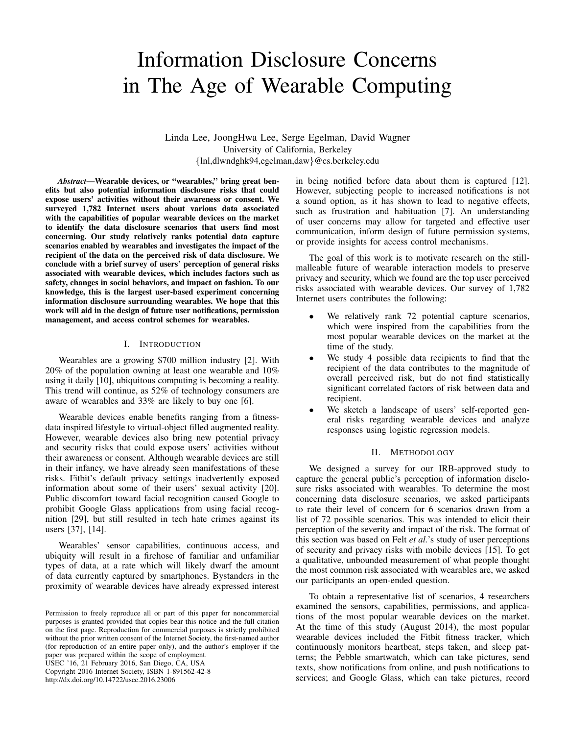# Information Disclosure Concerns in The Age of Wearable Computing

Linda Lee, JoongHwa Lee, Serge Egelman, David Wagner University of California, Berkeley {lnl,dlwndghk94,egelman,daw}@cs.berkeley.edu

*Abstract*—Wearable devices, or "wearables," bring great benefits but also potential information disclosure risks that could expose users' activities without their awareness or consent. We surveyed 1,782 Internet users about various data associated with the capabilities of popular wearable devices on the market to identify the data disclosure scenarios that users find most concerning. Our study relatively ranks potential data capture scenarios enabled by wearables and investigates the impact of the recipient of the data on the perceived risk of data disclosure. We conclude with a brief survey of users' perception of general risks associated with wearable devices, which includes factors such as safety, changes in social behaviors, and impact on fashion. To our knowledge, this is the largest user-based experiment concerning information disclosure surrounding wearables. We hope that this work will aid in the design of future user notifications, permission management, and access control schemes for wearables.

# I. INTRODUCTION

Wearables are a growing \$700 million industry [2]. With 20% of the population owning at least one wearable and 10% using it daily [10], ubiquitous computing is becoming a reality. This trend will continue, as 52% of technology consumers are aware of wearables and 33% are likely to buy one [6].

Wearable devices enable benefits ranging from a fitnessdata inspired lifestyle to virtual-object filled augmented reality. However, wearable devices also bring new potential privacy and security risks that could expose users' activities without their awareness or consent. Although wearable devices are still in their infancy, we have already seen manifestations of these risks. Fitbit's default privacy settings inadvertently exposed information about some of their users' sexual activity [20]. Public discomfort toward facial recognition caused Google to prohibit Google Glass applications from using facial recognition [29], but still resulted in tech hate crimes against its users [37], [14].

Wearables' sensor capabilities, continuous access, and ubiquity will result in a firehose of familiar and unfamiliar types of data, at a rate which will likely dwarf the amount of data currently captured by smartphones. Bystanders in the proximity of wearable devices have already expressed interest

USEC '16, 21 February 2016, San Diego, CA, USA

Copyright 2016 Internet Society, ISBN 1-891562-42-8 http://dx.doi.org/10.14722/usec.2016.23006

in being notified before data about them is captured [12]. However, subjecting people to increased notifications is not a sound option, as it has shown to lead to negative effects, such as frustration and habituation [7]. An understanding of user concerns may allow for targeted and effective user communication, inform design of future permission systems, or provide insights for access control mechanisms.

The goal of this work is to motivate research on the stillmalleable future of wearable interaction models to preserve privacy and security, which we found are the top user perceived risks associated with wearable devices. Our survey of 1,782 Internet users contributes the following:

- We relatively rank 72 potential capture scenarios, which were inspired from the capabilities from the most popular wearable devices on the market at the time of the study.
- We study 4 possible data recipients to find that the recipient of the data contributes to the magnitude of overall perceived risk, but do not find statistically significant correlated factors of risk between data and recipient.
- We sketch a landscape of users' self-reported general risks regarding wearable devices and analyze responses using logistic regression models.

### II. METHODOLOGY

We designed a survey for our IRB-approved study to capture the general public's perception of information disclosure risks associated with wearables. To determine the most concerning data disclosure scenarios, we asked participants to rate their level of concern for 6 scenarios drawn from a list of 72 possible scenarios. This was intended to elicit their perception of the severity and impact of the risk. The format of this section was based on Felt *et al.*'s study of user perceptions of security and privacy risks with mobile devices [15]. To get a qualitative, unbounded measurement of what people thought the most common risk associated with wearables are, we asked our participants an open-ended question.

To obtain a representative list of scenarios, 4 researchers examined the sensors, capabilities, permissions, and applications of the most popular wearable devices on the market. At the time of this study (August 2014), the most popular wearable devices included the Fitbit fitness tracker, which continuously monitors heartbeat, steps taken, and sleep patterns; the Pebble smartwatch, which can take pictures, send texts, show notifications from online, and push notifications to services; and Google Glass, which can take pictures, record

Permission to freely reproduce all or part of this paper for noncommercial purposes is granted provided that copies bear this notice and the full citation on the first page. Reproduction for commercial purposes is strictly prohibited without the prior written consent of the Internet Society, the first-named author (for reproduction of an entire paper only), and the author's employer if the paper was prepared within the scope of employment.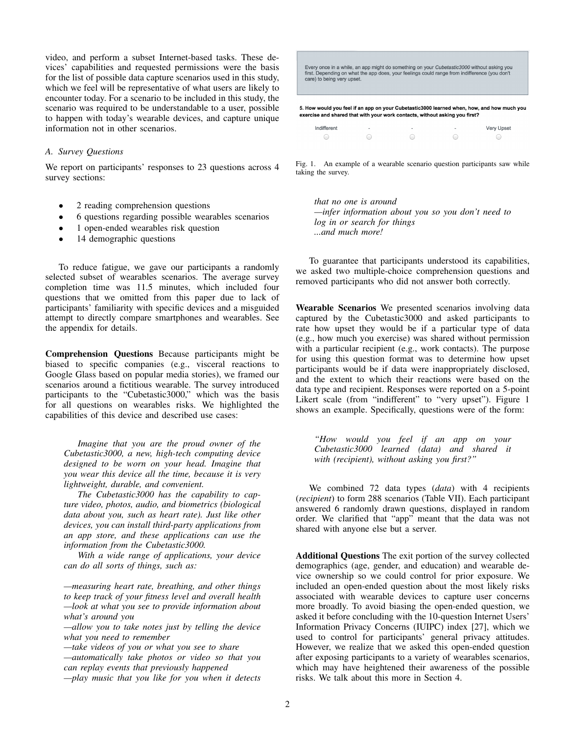video, and perform a subset Internet-based tasks. These devices' capabilities and requested permissions were the basis for the list of possible data capture scenarios used in this study, which we feel will be representative of what users are likely to encounter today. For a scenario to be included in this study, the scenario was required to be understandable to a user, possible to happen with today's wearable devices, and capture unique information not in other scenarios.

# *A. Survey Questions*

We report on participants' responses to 23 questions across 4 survey sections:

- 2 reading comprehension questions
- 6 questions regarding possible wearables scenarios
- 1 open-ended wearables risk question
- 14 demographic questions

To reduce fatigue, we gave our participants a randomly selected subset of wearables scenarios. The average survey completion time was 11.5 minutes, which included four questions that we omitted from this paper due to lack of participants' familiarity with specific devices and a misguided attempt to directly compare smartphones and wearables. See the appendix for details.

Comprehension Questions Because participants might be biased to specific companies (e.g., visceral reactions to Google Glass based on popular media stories), we framed our scenarios around a fictitious wearable. The survey introduced participants to the "Cubetastic3000," which was the basis for all questions on wearables risks. We highlighted the capabilities of this device and described use cases:

*Imagine that you are the proud owner of the Cubetastic3000, a new, high-tech computing device designed to be worn on your head. Imagine that you wear this device all the time, because it is very lightweight, durable, and convenient.*

*The Cubetastic3000 has the capability to capture video, photos, audio, and biometrics (biological data about you, such as heart rate). Just like other devices, you can install third-party applications from an app store, and these applications can use the information from the Cubetastic3000.*

*With a wide range of applications, your device can do all sorts of things, such as:*

*—measuring heart rate, breathing, and other things to keep track of your fitness level and overall health —look at what you see to provide information about what's around you*

*—allow you to take notes just by telling the device what you need to remember*

*—take videos of you or what you see to share*

*—automatically take photos or video so that you can replay events that previously happened*

*—play music that you like for you when it detects*

| 5. How would you feel if an app on your Cubetastic3000 learned when, how, and how much you<br>exercise and shared that with your work contacts, without asking you first?                                                        |  |
|----------------------------------------------------------------------------------------------------------------------------------------------------------------------------------------------------------------------------------|--|
| Every once in a while, an app might do something on your <i>Cubetastic3000</i> without asking you<br>first. Depending on what the app does, your feelings could range from indifference (you don't<br>care) to being very upset. |  |

| Indifferent | ۰ | ٠ | ۰ | Very Upset |
|-------------|---|---|---|------------|
|             |   |   |   |            |

Fig. 1. An example of a wearable scenario question participants saw while taking the survey.

*that no one is around —infer information about you so you don't need to log in or search for things ...and much more!*

To guarantee that participants understood its capabilities, we asked two multiple-choice comprehension questions and removed participants who did not answer both correctly.

Wearable Scenarios We presented scenarios involving data captured by the Cubetastic3000 and asked participants to rate how upset they would be if a particular type of data (e.g., how much you exercise) was shared without permission with a particular recipient (e.g., work contacts). The purpose for using this question format was to determine how upset participants would be if data were inappropriately disclosed, and the extent to which their reactions were based on the data type and recipient. Responses were reported on a 5-point Likert scale (from "indifferent" to "very upset"). Figure 1 shows an example. Specifically, questions were of the form:

*"How would you feel if an app on your Cubetastic3000 learned (data) and shared it with (recipient), without asking you first?"*

We combined 72 data types (*data*) with 4 recipients (*recipient*) to form 288 scenarios (Table VII). Each participant answered 6 randomly drawn questions, displayed in random order. We clarified that "app" meant that the data was not shared with anyone else but a server.

Additional Questions The exit portion of the survey collected demographics (age, gender, and education) and wearable device ownership so we could control for prior exposure. We included an open-ended question about the most likely risks associated with wearable devices to capture user concerns more broadly. To avoid biasing the open-ended question, we asked it before concluding with the 10-question Internet Users' Information Privacy Concerns (IUIPC) index [27], which we used to control for participants' general privacy attitudes. However, we realize that we asked this open-ended question after exposing participants to a variety of wearables scenarios, which may have heightened their awareness of the possible risks. We talk about this more in Section 4.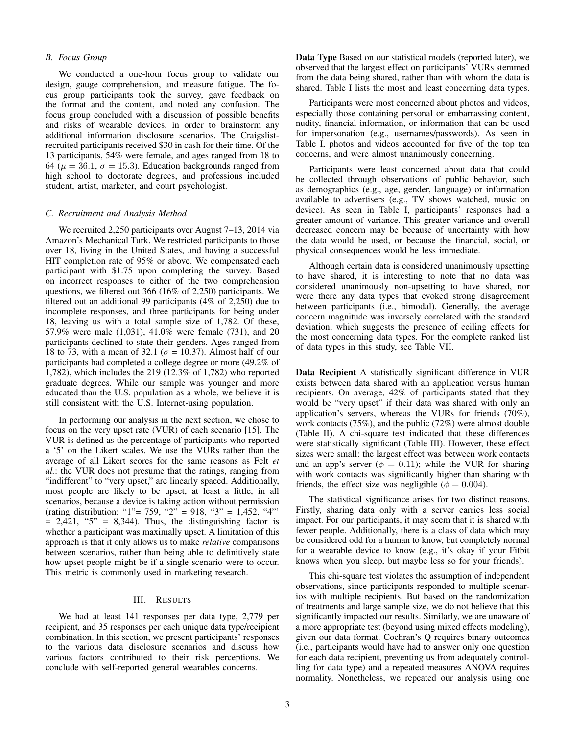## *B. Focus Group*

We conducted a one-hour focus group to validate our design, gauge comprehension, and measure fatigue. The focus group participants took the survey, gave feedback on the format and the content, and noted any confusion. The focus group concluded with a discussion of possible benefits and risks of wearable devices, in order to brainstorm any additional information disclosure scenarios. The Craigslistrecruited participants received \$30 in cash for their time. Of the 13 participants, 54% were female, and ages ranged from 18 to 64 ( $\mu = 36.1$ ,  $\sigma = 15.3$ ). Education backgrounds ranged from high school to doctorate degrees, and professions included student, artist, marketer, and court psychologist.

## *C. Recruitment and Analysis Method*

We recruited 2,250 participants over August 7–13, 2014 via Amazon's Mechanical Turk. We restricted participants to those over 18, living in the United States, and having a successful HIT completion rate of 95% or above. We compensated each participant with \$1.75 upon completing the survey. Based on incorrect responses to either of the two comprehension questions, we filtered out 366 (16% of 2,250) participants. We filtered out an additional 99 participants (4% of 2,250) due to incomplete responses, and three participants for being under 18, leaving us with a total sample size of 1,782. Of these, 57.9% were male (1,031), 41.0% were female (731), and 20 participants declined to state their genders. Ages ranged from 18 to 73, with a mean of 32.1 ( $\sigma$  = 10.37). Almost half of our participants had completed a college degree or more (49.2% of 1,782), which includes the 219 (12.3% of 1,782) who reported graduate degrees. While our sample was younger and more educated than the U.S. population as a whole, we believe it is still consistent with the U.S. Internet-using population.

In performing our analysis in the next section, we chose to focus on the very upset rate (VUR) of each scenario [15]. The VUR is defined as the percentage of participants who reported a '5' on the Likert scales. We use the VURs rather than the average of all Likert scores for the same reasons as Felt *et al.*: the VUR does not presume that the ratings, ranging from "indifferent" to "very upset," are linearly spaced. Additionally, most people are likely to be upset, at least a little, in all scenarios, because a device is taking action without permission (rating distribution: "1"= 759, "2" = 918, "3" = 1,452, "4"'  $= 2,421,$  "5"  $= 8,344$ ). Thus, the distinguishing factor is whether a participant was maximally upset. A limitation of this approach is that it only allows us to make *relative* comparisons between scenarios, rather than being able to definitively state how upset people might be if a single scenario were to occur. This metric is commonly used in marketing research.

#### III. RESULTS

We had at least 141 responses per data type, 2,779 per recipient, and 35 responses per each unique data type/recipient combination. In this section, we present participants' responses to the various data disclosure scenarios and discuss how various factors contributed to their risk perceptions. We conclude with self-reported general wearables concerns.

Data Type Based on our statistical models (reported later), we observed that the largest effect on participants' VURs stemmed from the data being shared, rather than with whom the data is shared. Table I lists the most and least concerning data types.

Participants were most concerned about photos and videos, especially those containing personal or embarrassing content, nudity, financial information, or information that can be used for impersonation (e.g., usernames/passwords). As seen in Table I, photos and videos accounted for five of the top ten concerns, and were almost unanimously concerning.

Participants were least concerned about data that could be collected through observations of public behavior, such as demographics (e.g., age, gender, language) or information available to advertisers (e.g., TV shows watched, music on device). As seen in Table I, participants' responses had a greater amount of variance. This greater variance and overall decreased concern may be because of uncertainty with how the data would be used, or because the financial, social, or physical consequences would be less immediate.

Although certain data is considered unanimously upsetting to have shared, it is interesting to note that no data was considered unanimously non-upsetting to have shared, nor were there any data types that evoked strong disagreement between participants (i.e., bimodal). Generally, the average concern magnitude was inversely correlated with the standard deviation, which suggests the presence of ceiling effects for the most concerning data types. For the complete ranked list of data types in this study, see Table VII.

Data Recipient A statistically significant difference in VUR exists between data shared with an application versus human recipients. On average, 42% of participants stated that they would be "very upset" if their data was shared with only an application's servers, whereas the VURs for friends (70%), work contacts (75%), and the public (72%) were almost double (Table II). A chi-square test indicated that these differences were statistically significant (Table III). However, these effect sizes were small: the largest effect was between work contacts and an app's server ( $\phi = 0.11$ ); while the VUR for sharing with work contacts was significantly higher than sharing with friends, the effect size was negligible ( $\phi = 0.004$ ).

The statistical significance arises for two distinct reasons. Firstly, sharing data only with a server carries less social impact. For our participants, it may seem that it is shared with fewer people. Additionally, there is a class of data which may be considered odd for a human to know, but completely normal for a wearable device to know (e.g., it's okay if your Fitbit knows when you sleep, but maybe less so for your friends).

This chi-square test violates the assumption of independent observations, since participants responded to multiple scenarios with multiple recipients. But based on the randomization of treatments and large sample size, we do not believe that this significantly impacted our results. Similarly, we are unaware of a more appropriate test (beyond using mixed effects modeling), given our data format. Cochran's Q requires binary outcomes (i.e., participants would have had to answer only one question for each data recipient, preventing us from adequately controlling for data type) and a repeated measures ANOVA requires normality. Nonetheless, we repeated our analysis using one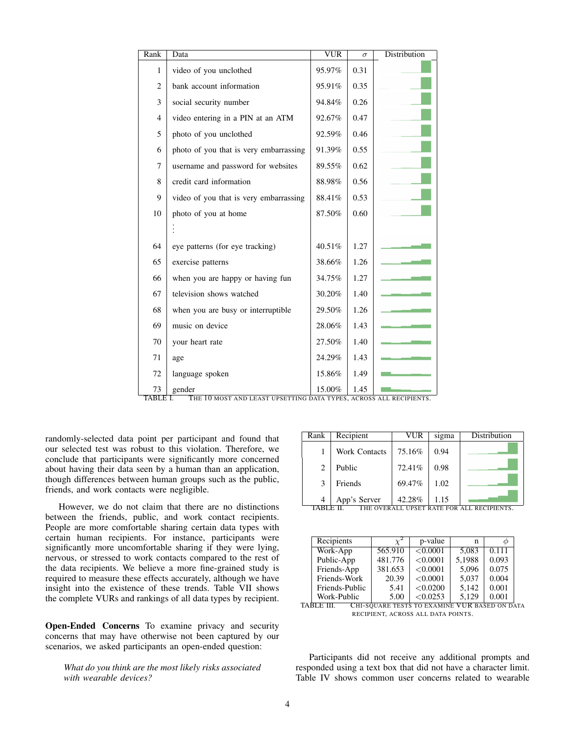| Rank           | Data                                   | <b>VUR</b> | $\sigma$ | Distribution |
|----------------|----------------------------------------|------------|----------|--------------|
| 1              | video of you unclothed                 | 95.97%     | 0.31     |              |
| $\overline{2}$ | bank account information               | 95.91%     | 0.35     |              |
| 3              | social security number                 | 94.84%     | 0.26     |              |
| $\overline{4}$ | video entering in a PIN at an ATM      | 92.67%     | 0.47     |              |
| 5              | photo of you unclothed                 | 92.59%     | 0.46     |              |
| 6              | photo of you that is very embarrassing | 91.39%     | 0.55     |              |
| 7              | username and password for websites     | 89.55%     | 0.62     |              |
| 8              | credit card information                | 88.98%     | 0.56     |              |
| 9              | video of you that is very embarrassing | 88.41%     | 0.53     |              |
| 10             | photo of you at home                   | 87.50%     | 0.60     |              |
|                |                                        |            |          |              |
| 64             | eye patterns (for eye tracking)        | 40.51%     | 1.27     |              |
| 65             | exercise patterns                      | 38.66%     | 1.26     |              |
| 66             | when you are happy or having fun       | 34.75%     | 1.27     |              |
| 67             | television shows watched               | 30.20%     | 1.40     |              |
| 68             | when you are busy or interruptible     | 29.50%     | 1.26     |              |
| 69             | music on device                        | 28.06%     | 1.43     |              |
| 70             | your heart rate                        | 27.50%     | 1.40     |              |
| 71             | age                                    | 24.29%     | 1.43     |              |
| 72             | language spoken                        | 15.86%     | 1.49     |              |
| 73             | gender                                 | 15.00%     | 1.45     |              |

TABLE I. THE 10 MOST AND LEAST UPSETTING DATA TYPES, ACROSS ALL RECIPIENTS.

randomly-selected data point per participant and found that our selected test was robust to this violation. Therefore, we conclude that participants were significantly more concerned about having their data seen by a human than an application, though differences between human groups such as the public, friends, and work contacts were negligible.

However, we do not claim that there are no distinctions between the friends, public, and work contact recipients. People are more comfortable sharing certain data types with certain human recipients. For instance, participants were significantly more uncomfortable sharing if they were lying, nervous, or stressed to work contacts compared to the rest of the data recipients. We believe a more fine-grained study is required to measure these effects accurately, although we have insight into the existence of these trends. Table VII shows the complete VURs and rankings of all data types by recipient.

Open-Ended Concerns To examine privacy and security concerns that may have otherwise not been captured by our scenarios, we asked participants an open-ended question:

*What do you think are the most likely risks associated with wearable devices?*

| Rank   | Recipient     | VUR    | sigma | Distribution     |
|--------|---------------|--------|-------|------------------|
|        | Work Contacts | 75.16% | 0.94  |                  |
| 2      | Public        | 72.41% | 0.98  |                  |
| 3      | Friends       | 69.47% | 1.02  |                  |
| ותגידי | App's Server  | 42.28% | 1.15  | <b>DEATBIRTS</b> |

| TABLE II.<br>THE OVERALL UPSET RATE FOR ALL RECIPIENTS. |
|---------------------------------------------------------|
|---------------------------------------------------------|

| Recipients         |         | p-value                  | n      |           |
|--------------------|---------|--------------------------|--------|-----------|
| Work-App           | 565.910 | < 0.0001                 | 5.083  | 0.111     |
| Public-App         | 481.776 | < 0.0001                 | 5.1988 | 0.093     |
| Friends-App        | 381.653 | < 0.0001                 | 5.096  | 0.075     |
| Friends-Work       | 20.39   | < 0.0001                 | 5.037  | 0.004     |
| Friends-Public     | 5.41    | < 0.0200                 | 5.142  | 0.001     |
| Work-Public        | 5.00    | < 0.0253                 | 5,129  | 0.001     |
| ÐТ<br>$\Gamma$ ttt |         | COUA DE TECTS TO EVAMINE |        | ACDDOMDA2 |

TABLE III. CHI-SQUARE TESTS TO EXAMINE VUR BASED ON DATA RECIPIENT, ACROSS ALL DATA POINTS.

Participants did not receive any additional prompts and responded using a text box that did not have a character limit. Table IV shows common user concerns related to wearable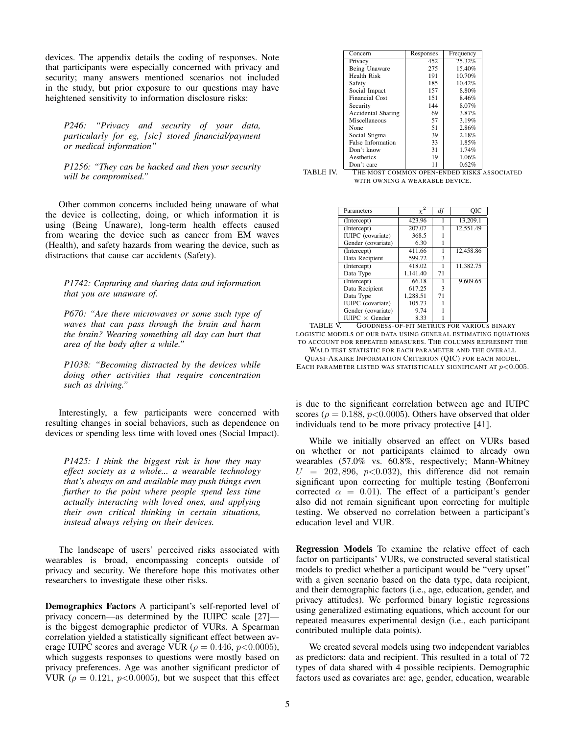devices. The appendix details the coding of responses. Note that participants were especially concerned with privacy and security; many answers mentioned scenarios not included in the study, but prior exposure to our questions may have heightened sensitivity to information disclosure risks:

*P246: "Privacy and security of your data, particularly for eg, [sic] stored financial/payment or medical information"*

*P1256: "They can be hacked and then your security will be compromised."*

Other common concerns included being unaware of what the device is collecting, doing, or which information it is using (Being Unaware), long-term health effects caused from wearing the device such as cancer from EM waves (Health), and safety hazards from wearing the device, such as distractions that cause car accidents (Safety).

*P1742: Capturing and sharing data and information that you are unaware of.*

*P670: "Are there microwaves or some such type of waves that can pass through the brain and harm the brain? Wearing something all day can hurt that area of the body after a while."*

*P1038: "Becoming distracted by the devices while doing other activities that require concentration such as driving."*

Interestingly, a few participants were concerned with resulting changes in social behaviors, such as dependence on devices or spending less time with loved ones (Social Impact).

*P1425: I think the biggest risk is how they may effect society as a whole... a wearable technology that's always on and available may push things even further to the point where people spend less time actually interacting with loved ones, and applying their own critical thinking in certain situations, instead always relying on their devices.*

The landscape of users' perceived risks associated with wearables is broad, encompassing concepts outside of privacy and security. We therefore hope this motivates other researchers to investigate these other risks.

Demographics Factors A participant's self-reported level of privacy concern—as determined by the IUIPC scale [27] is the biggest demographic predictor of VURs. A Spearman correlation yielded a statistically significant effect between average IUIPC scores and average VUR ( $\rho = 0.446$ ,  $p < 0.0005$ ), which suggests responses to questions were mostly based on privacy preferences. Age was another significant predictor of VUR ( $\rho = 0.121$ ,  $p < 0.0005$ ), but we suspect that this effect

| Concern                   | Responses | Frequency |
|---------------------------|-----------|-----------|
| Privacy                   | 452       | 25.32%    |
| Being Unaware             | 275       | 15.40%    |
| <b>Health Risk</b>        | 191       | 10.70%    |
| Safety                    | 185       | 10.42%    |
| Social Impact             | 157       | 8.80%     |
| <b>Financial Cost</b>     | 151       | 8.46%     |
| Security                  | 144       | 8.07%     |
| <b>Accidental Sharing</b> | 69        | 3.87%     |
| Miscellaneous             | 57        | 3.19%     |
| None                      | 51        | 2.86%     |
| Social Stigma             | 39        | 2.18%     |
| <b>False Information</b>  | 33        | 1.85%     |
| Don't know                | 31        | 1.74%     |
| Aesthetics                | 19        | 1.06%     |
| Don't care                | 11        | 0.62%     |

TABLE IV. Don't care 11 0.62% <br>TABLE IV. THE MOST COMMON OPEN-ENDED RISKS ASSOCIATED WITH OWNING A WEARABLE DEVICE.

| Parameters               |          | df | ОIС       |
|--------------------------|----------|----|-----------|
| (Intercept)              | 423.96   |    | 13.209.1  |
| (Intercept)              | 207.07   |    | 12.551.49 |
| <b>IUIPC</b> (covariate) | 368.5    |    |           |
| Gender (covariate)       | 6.30     |    |           |
| (Intercept)              | 411.66   |    | 12,458.86 |
| Data Recipient           | 599.72   | 3  |           |
| (Intercept)              | 418.02   |    | 11.382.75 |
| Data Type                | 1.141.40 | 71 |           |
| (Intercept)              | 66.18    |    | 9.609.65  |
| Data Recipient           | 617.25   | 3  |           |
| Data Type                | 1.288.51 | 71 |           |
| <b>IUIPC</b> (covariate) | 105.73   |    |           |
| Gender (covariate)       | 9.74     |    |           |
| $IUIPC \times Gender$    | 8.33     |    |           |

IUIPC × Gender 8.33 1 TABLE V. GOODNESS-OF-FIT METRICS FOR VARIOUS BINARY LOGISTIC MODELS OF OUR DATA USING GENERAL ESTIMATING EQUATIONS TO ACCOUNT FOR REPEATED MEASURES. THE COLUMNS REPRESENT THE WALD TEST STATISTIC FOR EACH PARAMETER AND THE OVERALL QUASI-AKAIKE INFORMATION CRITERION (QIC) FOR EACH MODEL. EACH PARAMETER LISTED WAS STATISTICALLY SIGNIFICANT AT  $p<0.005$ .

is due to the significant correlation between age and IUIPC scores ( $\rho = 0.188$ ,  $p < 0.0005$ ). Others have observed that older individuals tend to be more privacy protective [41].

While we initially observed an effect on VURs based on whether or not participants claimed to already own wearables (57.0% vs. 60.8%, respectively; Mann-Whitney  $U = 202,896, p<0.032$ , this difference did not remain significant upon correcting for multiple testing (Bonferroni corrected  $\alpha = 0.01$ . The effect of a participant's gender also did not remain significant upon correcting for multiple testing. We observed no correlation between a participant's education level and VUR.

Regression Models To examine the relative effect of each factor on participants' VURs, we constructed several statistical models to predict whether a participant would be "very upset" with a given scenario based on the data type, data recipient, and their demographic factors (i.e., age, education, gender, and privacy attitudes). We performed binary logistic regressions using generalized estimating equations, which account for our repeated measures experimental design (i.e., each participant contributed multiple data points).

We created several models using two independent variables as predictors: data and recipient. This resulted in a total of 72 types of data shared with 4 possible recipients. Demographic factors used as covariates are: age, gender, education, wearable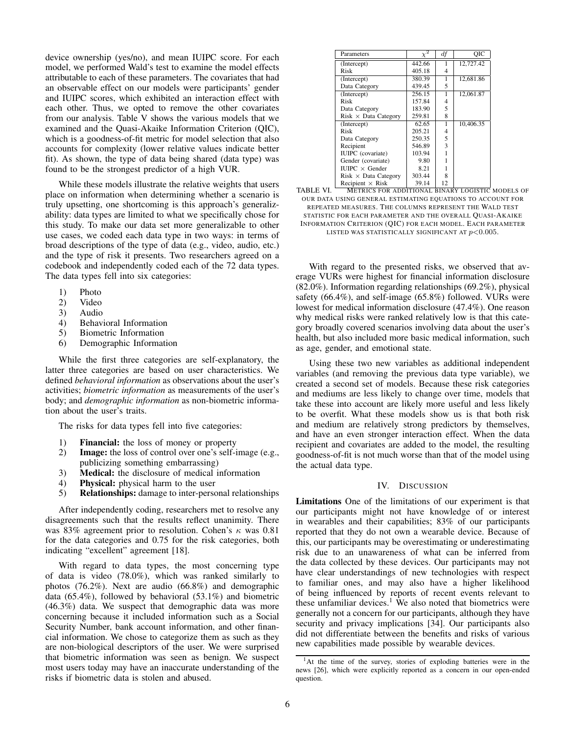device ownership (yes/no), and mean IUIPC score. For each model, we performed Wald's test to examine the model effects attributable to each of these parameters. The covariates that had an observable effect on our models were participants' gender and IUIPC scores, which exhibited an interaction effect with each other. Thus, we opted to remove the other covariates from our analysis. Table V shows the various models that we examined and the Quasi-Akaike Information Criterion (QIC), which is a goodness-of-fit metric for model selection that also accounts for complexity (lower relative values indicate better fit). As shown, the type of data being shared (data type) was found to be the strongest predictor of a high VUR.

While these models illustrate the relative weights that users place on information when determining whether a scenario is truly upsetting, one shortcoming is this approach's generalizability: data types are limited to what we specifically chose for this study. To make our data set more generalizable to other use cases, we coded each data type in two ways: in terms of broad descriptions of the type of data (e.g., video, audio, etc.) and the type of risk it presents. Two researchers agreed on a codebook and independently coded each of the 72 data types. The data types fell into six categories:

- 1) Photo
- 2) Video
- 3) Audio
- 4) Behavioral Information
- 5) Biometric Information
- 6) Demographic Information

While the first three categories are self-explanatory, the latter three categories are based on user characteristics. We defined *behavioral information* as observations about the user's activities; *biometric information* as measurements of the user's body; and *demographic information* as non-biometric information about the user's traits.

The risks for data types fell into five categories:

- 1) Financial: the loss of money or property
- 2) Image: the loss of control over one's self-image (e.g., publicizing something embarrassing)
- 3) Medical: the disclosure of medical information
- 4) Physical: physical harm to the user
- 5) Relationships: damage to inter-personal relationships

After independently coding, researchers met to resolve any disagreements such that the results reflect unanimity. There was 83% agreement prior to resolution. Cohen's  $\kappa$  was 0.81 for the data categories and 0.75 for the risk categories, both indicating "excellent" agreement [18].

With regard to data types, the most concerning type of data is video (78.0%), which was ranked similarly to photos (76.2%). Next are audio (66.8%) and demographic data (65.4%), followed by behavioral (53.1%) and biometric (46.3%) data. We suspect that demographic data was more concerning because it included information such as a Social Security Number, bank account information, and other financial information. We chose to categorize them as such as they are non-biological descriptors of the user. We were surprised that biometric information was seen as benign. We suspect most users today may have an inaccurate understanding of the risks if biometric data is stolen and abused.

| Parameters                  |        | df | OIC       |
|-----------------------------|--------|----|-----------|
| (Intercept)                 | 442.66 |    | 12,727.42 |
| Risk                        | 405.18 | 4  |           |
| (Intercept)                 | 380.39 | 1  | 12.681.86 |
| Data Category               | 439.45 | 5  |           |
| (Intercept)                 | 256.15 | 1  | 12,061.87 |
| Risk                        | 157.84 | 4  |           |
| Data Category               | 183.90 | 5  |           |
| $Risk \times Data$ Category | 259.81 | 8  |           |
| (Intercept)                 | 62.65  | 1  | 10,406.35 |
| Risk                        | 205.21 | 4  |           |
| Data Category               | 250.35 | 5  |           |
| Recipient                   | 546.89 | 3  |           |
| <b>IUIPC</b> (covariate)    | 103.94 |    |           |
| Gender (covariate)          | 9.80   |    |           |
| $IUIPC \times$ Gender       | 8.21   |    |           |
| $Risk \times Data$ Category | 303.44 | 8  |           |
| Recipient $\times$ Risk     | 39.14  | 12 |           |

TABLE VI. METRICS FOR ADDITIONAL BINARY LOGISTIC MODELS OF OUR DATA USING GENERAL ESTIMATING EQUATIONS TO ACCOUNT FOR REPEATED MEASURES. THE COLUMNS REPRESENT THE WALD TEST STATISTIC FOR EACH PARAMETER AND THE OVERALL QUASI-AKAIKE INFORMATION CRITERION (QIC) FOR EACH MODEL. EACH PARAMETER LISTED WAS STATISTICALLY SIGNIFICANT AT  $p<0.005$ .

With regard to the presented risks, we observed that average VURs were highest for financial information disclosure (82.0%). Information regarding relationships (69.2%), physical safety (66.4%), and self-image (65.8%) followed. VURs were lowest for medical information disclosure (47.4%). One reason why medical risks were ranked relatively low is that this category broadly covered scenarios involving data about the user's health, but also included more basic medical information, such as age, gender, and emotional state.

Using these two new variables as additional independent variables (and removing the previous data type variable), we created a second set of models. Because these risk categories and mediums are less likely to change over time, models that take these into account are likely more useful and less likely to be overfit. What these models show us is that both risk and medium are relatively strong predictors by themselves, and have an even stronger interaction effect. When the data recipient and covariates are added to the model, the resulting goodness-of-fit is not much worse than that of the model using the actual data type.

## IV. DISCUSSION

Limitations One of the limitations of our experiment is that our participants might not have knowledge of or interest in wearables and their capabilities; 83% of our participants reported that they do not own a wearable device. Because of this, our participants may be overestimating or underestimating risk due to an unawareness of what can be inferred from the data collected by these devices. Our participants may not have clear understandings of new technologies with respect to familiar ones, and may also have a higher likelihood of being influenced by reports of recent events relevant to these unfamiliar devices.<sup>1</sup> We also noted that biometrics were generally not a concern for our participants, although they have security and privacy implications [34]. Our participants also did not differentiate between the benefits and risks of various new capabilities made possible by wearable devices.

<sup>&</sup>lt;sup>1</sup>At the time of the survey, stories of exploding batteries were in the news [26], which were explicitly reported as a concern in our open-ended question.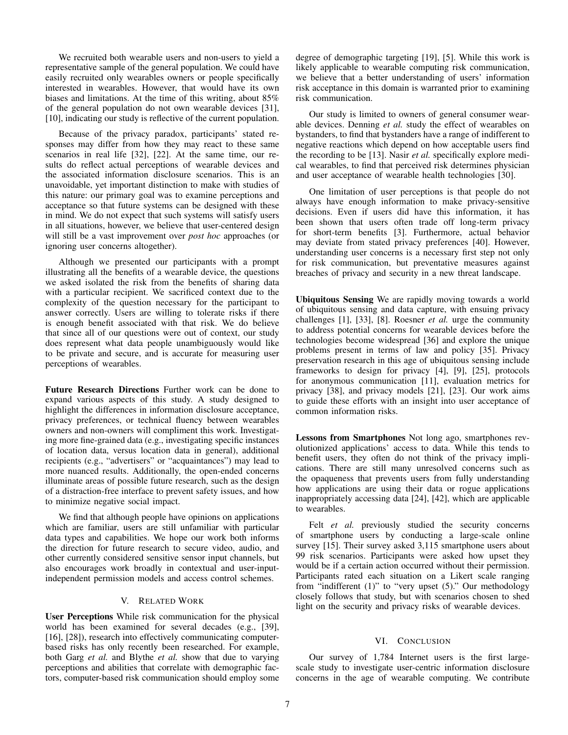We recruited both wearable users and non-users to yield a representative sample of the general population. We could have easily recruited only wearables owners or people specifically interested in wearables. However, that would have its own biases and limitations. At the time of this writing, about 85% of the general population do not own wearable devices [31], [10], indicating our study is reflective of the current population.

Because of the privacy paradox, participants' stated responses may differ from how they may react to these same scenarios in real life [32], [22]. At the same time, our results do reflect actual perceptions of wearable devices and the associated information disclosure scenarios. This is an unavoidable, yet important distinction to make with studies of this nature: our primary goal was to examine perceptions and acceptance so that future systems can be designed with these in mind. We do not expect that such systems will satisfy users in all situations, however, we believe that user-centered design will still be a vast improvement over *post hoc* approaches (or ignoring user concerns altogether).

Although we presented our participants with a prompt illustrating all the benefits of a wearable device, the questions we asked isolated the risk from the benefits of sharing data with a particular recipient. We sacrificed context due to the complexity of the question necessary for the participant to answer correctly. Users are willing to tolerate risks if there is enough benefit associated with that risk. We do believe that since all of our questions were out of context, our study does represent what data people unambiguously would like to be private and secure, and is accurate for measuring user perceptions of wearables.

Future Research Directions Further work can be done to expand various aspects of this study. A study designed to highlight the differences in information disclosure acceptance, privacy preferences, or technical fluency between wearables owners and non-owners will compliment this work. Investigating more fine-grained data (e.g., investigating specific instances of location data, versus location data in general), additional recipients (e.g., "advertisers" or "acquaintances") may lead to more nuanced results. Additionally, the open-ended concerns illuminate areas of possible future research, such as the design of a distraction-free interface to prevent safety issues, and how to minimize negative social impact.

We find that although people have opinions on applications which are familiar, users are still unfamiliar with particular data types and capabilities. We hope our work both informs the direction for future research to secure video, audio, and other currently considered sensitive sensor input channels, but also encourages work broadly in contextual and user-inputindependent permission models and access control schemes.

## V. RELATED WORK

User Perceptions While risk communication for the physical world has been examined for several decades (e.g., [39], [16], [28]), research into effectively communicating computerbased risks has only recently been researched. For example, both Garg *et al.* and Blythe *et al.* show that due to varying perceptions and abilities that correlate with demographic factors, computer-based risk communication should employ some degree of demographic targeting [19], [5]. While this work is likely applicable to wearable computing risk communication, we believe that a better understanding of users' information risk acceptance in this domain is warranted prior to examining risk communication.

Our study is limited to owners of general consumer wearable devices. Denning *et al.* study the effect of wearables on bystanders, to find that bystanders have a range of indifferent to negative reactions which depend on how acceptable users find the recording to be [13]. Nasir *et al.* specifically explore medical wearables, to find that perceived risk determines physician and user acceptance of wearable health technologies [30].

One limitation of user perceptions is that people do not always have enough information to make privacy-sensitive decisions. Even if users did have this information, it has been shown that users often trade off long-term privacy for short-term benefits [3]. Furthermore, actual behavior may deviate from stated privacy preferences [40]. However, understanding user concerns is a necessary first step not only for risk communication, but preventative measures against breaches of privacy and security in a new threat landscape.

Ubiquitous Sensing We are rapidly moving towards a world of ubiquitous sensing and data capture, with ensuing privacy challenges [1], [33], [8]. Roesner *et al.* urge the community to address potential concerns for wearable devices before the technologies become widespread [36] and explore the unique problems present in terms of law and policy [35]. Privacy preservation research in this age of ubiquitous sensing include frameworks to design for privacy [4], [9], [25], protocols for anonymous communication [11], evaluation metrics for privacy [38], and privacy models [21], [23]. Our work aims to guide these efforts with an insight into user acceptance of common information risks.

Lessons from Smartphones Not long ago, smartphones revolutionized applications' access to data. While this tends to benefit users, they often do not think of the privacy implications. There are still many unresolved concerns such as the opaqueness that prevents users from fully understanding how applications are using their data or rogue applications inappropriately accessing data [24], [42], which are applicable to wearables.

Felt *et al.* previously studied the security concerns of smartphone users by conducting a large-scale online survey [15]. Their survey asked 3,115 smartphone users about 99 risk scenarios. Participants were asked how upset they would be if a certain action occurred without their permission. Participants rated each situation on a Likert scale ranging from "indifferent (1)" to "very upset (5)." Our methodology closely follows that study, but with scenarios chosen to shed light on the security and privacy risks of wearable devices.

# VI. CONCLUSION

Our survey of 1,784 Internet users is the first largescale study to investigate user-centric information disclosure concerns in the age of wearable computing. We contribute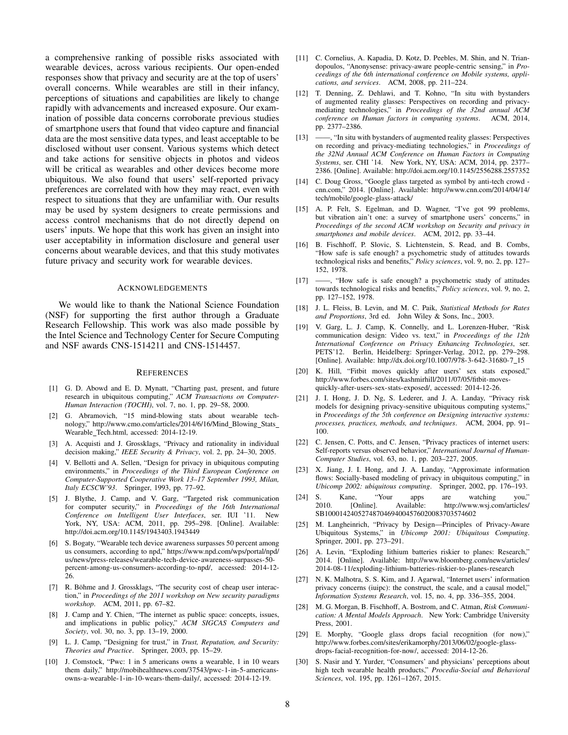a comprehensive ranking of possible risks associated with wearable devices, across various recipients. Our open-ended responses show that privacy and security are at the top of users' overall concerns. While wearables are still in their infancy, perceptions of situations and capabilities are likely to change rapidly with advancements and increased exposure. Our examination of possible data concerns corroborate previous studies of smartphone users that found that video capture and financial data are the most sensitive data types, and least acceptable to be disclosed without user consent. Various systems which detect and take actions for sensitive objects in photos and videos will be critical as wearables and other devices become more ubiquitous. We also found that users' self-reported privacy preferences are correlated with how they may react, even with respect to situations that they are unfamiliar with. Our results may be used by system designers to create permissions and access control mechanisms that do not directly depend on users' inputs. We hope that this work has given an insight into user acceptability in information disclosure and general user concerns about wearable devices, and that this study motivates future privacy and security work for wearable devices.

#### ACKNOWLEDGEMENTS

We would like to thank the National Science Foundation (NSF) for supporting the first author through a Graduate Research Fellowship. This work was also made possible by the Intel Science and Technology Center for Secure Computing and NSF awards CNS-1514211 and CNS-1514457.

#### **REFERENCES**

- [1] G. D. Abowd and E. D. Mynatt, "Charting past, present, and future research in ubiquitous computing," *ACM Transactions on Computer-Human Interaction (TOCHI)*, vol. 7, no. 1, pp. 29–58, 2000.
- [2] G. Abramovich, "15 mind-blowing stats about wearable technology," http://www.cmo.com/articles/2014/6/16/Mind\_Blowing\_Stats\_ Wearable Tech.html, accessed: 2014-12-19.
- [3] A. Acquisti and J. Grossklags, "Privacy and rationality in individual decision making," *IEEE Security & Privacy*, vol. 2, pp. 24–30, 2005.
- [4] V. Bellotti and A. Sellen, "Design for privacy in ubiquitous computing environments," in *Proceedings of the Third European Conference on Computer-Supported Cooperative Work 13–17 September 1993, Milan, Italy ECSCW'93*. Springer, 1993, pp. 77–92.
- [5] J. Blythe, J. Camp, and V. Garg, "Targeted risk communication for computer security," in *Proceedings of the 16th International Conference on Intelligent User Interfaces*, ser. IUI '11. New York, NY, USA: ACM, 2011, pp. 295–298. [Online]. Available: http://doi.acm.org/10.1145/1943403.1943449
- [6] S. Bogaty, "Wearable tech device awareness surpasses 50 percent among us consumers, according to npd," https://www.npd.com/wps/portal/npd/ us/news/press-releases/wearable-tech-device-awareness-surpasses-50 percent-among-us-consumers-according-to-npd/, accessed: 2014-12- 26.
- [7] R. Böhme and J. Grossklags, "The security cost of cheap user interaction," in *Proceedings of the 2011 workshop on New security paradigms workshop*. ACM, 2011, pp. 67–82.
- [8] J. Camp and Y. Chien, "The internet as public space: concepts, issues, and implications in public policy," *ACM SIGCAS Computers and Society*, vol. 30, no. 3, pp. 13–19, 2000.
- [9] L. J. Camp, "Designing for trust," in *Trust, Reputation, and Security: Theories and Practice*. Springer, 2003, pp. 15–29.
- [10] J. Comstock, "Pwc: 1 in 5 americans owns a wearable, 1 in 10 wears them daily," http://mobihealthnews.com/37543/pwc-1-in-5-americansowns-a-wearable-1-in-10-wears-them-daily/, accessed: 2014-12-19.
- [11] C. Cornelius, A. Kapadia, D. Kotz, D. Peebles, M. Shin, and N. Triandopoulos, "Anonysense: privacy-aware people-centric sensing," in *Proceedings of the 6th international conference on Mobile systems, applications, and services*. ACM, 2008, pp. 211–224.
- [12] T. Denning, Z. Dehlawi, and T. Kohno, "In situ with bystanders of augmented reality glasses: Perspectives on recording and privacymediating technologies," in *Proceedings of the 32nd annual ACM conference on Human factors in computing systems*. ACM, 2014, pp. 2377–2386.
- [13] ——, "In situ with bystanders of augmented reality glasses: Perspectives on recording and privacy-mediating technologies," in *Proceedings of the 32Nd Annual ACM Conference on Human Factors in Computing Systems*, ser. CHI '14. New York, NY, USA: ACM, 2014, pp. 2377– 2386. [Online]. Available: http://doi.acm.org/10.1145/2556288.2557352
- [14] C. Doug Gross, "Google glass targeted as symbol by anti-tech crowd cnn.com," 2014. [Online]. Available: http://www.cnn.com/2014/04/14/ tech/mobile/google-glass-attack/
- [15] A. P. Felt, S. Egelman, and D. Wagner, "I've got 99 problems, but vibration ain't one: a survey of smartphone users' concerns," in *Proceedings of the second ACM workshop on Security and privacy in smartphones and mobile devices*. ACM, 2012, pp. 33–44.
- [16] B. Fischhoff, P. Slovic, S. Lichtenstein, S. Read, and B. Combs, "How safe is safe enough? a psychometric study of attitudes towards technological risks and benefits," *Policy sciences*, vol. 9, no. 2, pp. 127– 152, 1978.
- [17] ——, "How safe is safe enough? a psychometric study of attitudes towards technological risks and benefits," *Policy sciences*, vol. 9, no. 2, pp. 127–152, 1978.
- [18] J. L. Fleiss, B. Levin, and M. C. Paik, *Statistical Methods for Rates and Proportions*, 3rd ed. John Wiley & Sons, Inc., 2003.
- [19] V. Garg, L. J. Camp, K. Connelly, and L. Lorenzen-Huber, "Risk communication design: Video vs. text," in *Proceedings of the 12th International Conference on Privacy Enhancing Technologies*, ser. PETS'12. Berlin, Heidelberg: Springer-Verlag, 2012, pp. 279–298. [Online]. Available: http://dx.doi.org/10.1007/978-3-642-31680-7 15
- [20] K. Hill, "Fitbit moves quickly after users' sex stats exposed," http://www.forbes.com/sites/kashmirhill/2011/07/05/fitbit-movesquickly-after-users-sex-stats-exposed/, accessed: 2014-12-26.
- [21] J. I. Hong, J. D. Ng, S. Lederer, and J. A. Landay, "Privacy risk models for designing privacy-sensitive ubiquitous computing systems," in *Proceedings of the 5th conference on Designing interactive systems: processes, practices, methods, and techniques*. ACM, 2004, pp. 91– 100.
- [22] C. Jensen, C. Potts, and C. Jensen, "Privacy practices of internet users: Self-reports versus observed behavior," *International Journal of Human-Computer Studies*, vol. 63, no. 1, pp. 203–227, 2005.
- [23] X. Jiang, J. I. Hong, and J. A. Landay, "Approximate information flows: Socially-based modeling of privacy in ubiquitous computing," in *Ubicomp 2002: ubiquitous computing*. Springer, 2002, pp. 176–193.
- [24] S. Kane, "Your apps are watching you," 2010. [Online]. Available: http://www.wsj.com/articles/ SB10001424052748704694004576020083703574602
- [25] M. Langheinrich, "Privacy by Design—Principles of Privacy-Aware Ubiquitous Systems," in *Ubicomp 2001: Ubiquitous Computing*. Springer, 2001, pp. 273–291.
- [26] A. Levin, "Exploding lithium batteries riskier to planes: Research," 2014. [Online]. Available: http://www.bloomberg.com/news/articles/ 2014-08-11/exploding-lithium-batteries-riskier-to-planes-research
- [27] N. K. Malhotra, S. S. Kim, and J. Agarwal, "Internet users' information privacy concerns (iuipc): the construct, the scale, and a causal model," *Information Systems Research*, vol. 15, no. 4, pp. 336–355, 2004.
- [28] M. G. Morgan, B. Fischhoff, A. Bostrom, and C. Atman, *Risk Communication: A Mental Models Approach*. New York: Cambridge University Press, 2001.
- [29] E. Morphy, "Google glass drops facial recognition (for now)," http://www.forbes.com/sites/erikamorphy/2013/06/02/google-glassdrops-facial-recognition-for-now/, accessed: 2014-12-26.
- [30] S. Nasir and Y. Yurder, "Consumers' and physicians' perceptions about high tech wearable health products," *Procedia-Social and Behavioral Sciences*, vol. 195, pp. 1261–1267, 2015.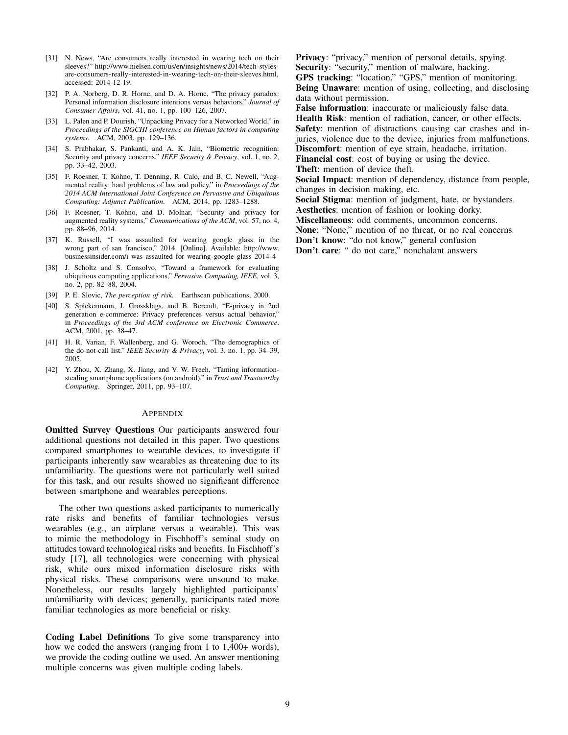- [31] N. News, "Are consumers really interested in wearing tech on their sleeves?" http://www.nielsen.com/us/en/insights/news/2014/tech-stylesare-consumers-really-interested-in-wearing-tech-on-their-sleeves.html, accessed: 2014-12-19.
- [32] P. A. Norberg, D. R. Horne, and D. A. Horne, "The privacy paradox: Personal information disclosure intentions versus behaviors," *Journal of Consumer Affairs*, vol. 41, no. 1, pp. 100–126, 2007.
- [33] L. Palen and P. Dourish, "Unpacking Privacy for a Networked World," in *Proceedings of the SIGCHI conference on Human factors in computing systems*. ACM, 2003, pp. 129–136.
- [34] S. Prabhakar, S. Pankanti, and A. K. Jain, "Biometric recognition: Security and privacy concerns," *IEEE Security & Privacy*, vol. 1, no. 2, pp. 33–42, 2003.
- [35] F. Roesner, T. Kohno, T. Denning, R. Calo, and B. C. Newell, "Augmented reality: hard problems of law and policy," in *Proceedings of the 2014 ACM International Joint Conference on Pervasive and Ubiquitous Computing: Adjunct Publication*. ACM, 2014, pp. 1283–1288.
- [36] F. Roesner, T. Kohno, and D. Molnar, "Security and privacy for augmented reality systems," *Communications of the ACM*, vol. 57, no. 4, pp. 88–96, 2014.
- [37] K. Russell, "I was assaulted for wearing google glass in the wrong part of san francisco," 2014. [Online]. Available: http://www. businessinsider.com/i-was-assaulted-for-wearing-google-glass-2014-4
- [38] J. Scholtz and S. Consolvo, "Toward a framework for evaluating ubiquitous computing applications," *Pervasive Computing, IEEE*, vol. 3, no. 2, pp. 82–88, 2004.
- [39] P. E. Slovic, *The perception of risk.* Earthscan publications, 2000.
- [40] S. Spiekermann, J. Grossklags, and B. Berendt, "E-privacy in 2nd generation e-commerce: Privacy preferences versus actual behavior," in *Proceedings of the 3rd ACM conference on Electronic Commerce*. ACM, 2001, pp. 38–47.
- [41] H. R. Varian, F. Wallenberg, and G. Woroch, "The demographics of the do-not-call list." *IEEE Security & Privacy*, vol. 3, no. 1, pp. 34–39, 2005.
- [42] Y. Zhou, X. Zhang, X. Jiang, and V. W. Freeh, "Taming informationstealing smartphone applications (on android)," in *Trust and Trustworthy Computing*. Springer, 2011, pp. 93–107.

#### APPENDIX

Omitted Survey Questions Our participants answered four additional questions not detailed in this paper. Two questions compared smartphones to wearable devices, to investigate if participants inherently saw wearables as threatening due to its unfamiliarity. The questions were not particularly well suited for this task, and our results showed no significant difference between smartphone and wearables perceptions.

The other two questions asked participants to numerically rate risks and benefits of familiar technologies versus wearables (e.g., an airplane versus a wearable). This was to mimic the methodology in Fischhoff's seminal study on attitudes toward technological risks and benefits. In Fischhoff's study [17], all technologies were concerning with physical risk, while ours mixed information disclosure risks with physical risks. These comparisons were unsound to make. Nonetheless, our results largely highlighted participants' unfamiliarity with devices; generally, participants rated more familiar technologies as more beneficial or risky.

Coding Label Definitions To give some transparency into how we coded the answers (ranging from 1 to 1,400+ words), we provide the coding outline we used. An answer mentioning multiple concerns was given multiple coding labels.

Privacy: "privacy," mention of personal details, spying. Security: "security," mention of malware, hacking. GPS tracking: "location," "GPS," mention of monitoring.

Being Unaware: mention of using, collecting, and disclosing data without permission.

False information: inaccurate or maliciously false data. Health Risk: mention of radiation, cancer, or other effects. Safety: mention of distractions causing car crashes and injuries, violence due to the device, injuries from malfunctions. Discomfort: mention of eye strain, headache, irritation.

Financial cost: cost of buying or using the device. Theft: mention of device theft.

Social Impact: mention of dependency, distance from people, changes in decision making, etc.

Social Stigma: mention of judgment, hate, or bystanders. Aesthetics: mention of fashion or looking dorky.

Miscellaneous: odd comments, uncommon concerns.

None: "None," mention of no threat, or no real concerns

Don't know: "do not know," general confusion

Don't care: " do not care," nonchalant answers